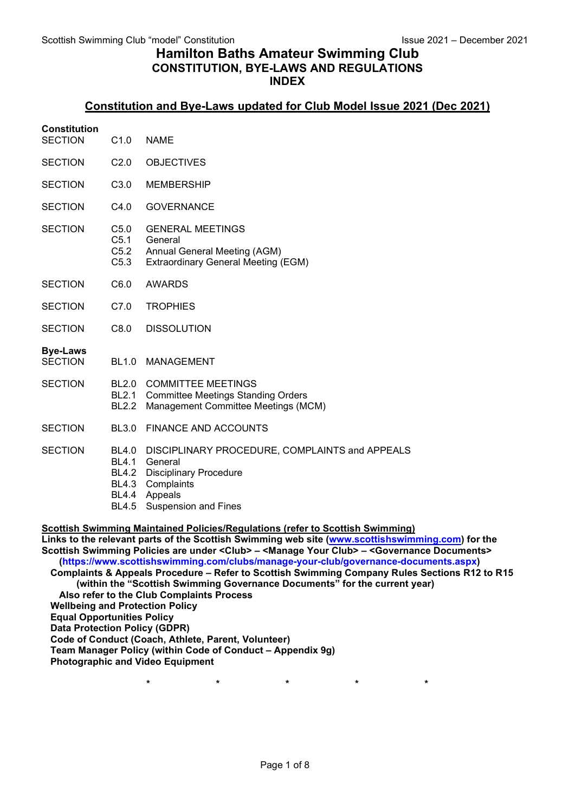# Hamilton Baths Amateur Swimming Club CONSTITUTION, BYE-LAWS AND REGULATIONS INDEX

# Constitution and Bye-Laws updated for Club Model Issue 2021 (Dec 2021)

## **Constitution**

- SECTION C1.0 NAME
- SECTION C2.0 OBJECTIVES
- SECTION C3.0 MEMBERSHIP
- SECTION C4.0 GOVERNANCE
- SECTION C5.0 GENERAL MEETINGS C5.1 General C5.2 Annual General Meeting (AGM) C5.3 Extraordinary General Meeting (EGM)
- SECTION C6.0 AWARDS
- SECTION C7.0 TROPHIES
- SECTION C8.0 DISSOLUTION

#### Bye-Laws

- SECTION BL1.0 MANAGEMENT
- SECTION BL2.0 COMMITTEE MEETINGS BL2.1 Committee Meetings Standing Orders
	- BL2.2 Management Committee Meetings (MCM)
- SECTION BL3.0 FINANCE AND ACCOUNTS
- SECTION BL4.0 DISCIPLINARY PROCEDURE, COMPLAINTS and APPEALS
	- BL4.1 General
	- BL4.2 Disciplinary Procedure
	- BL4.3 Complaints
	- BL4.4 Appeals
	- BL4.5 Suspension and Fines

Scottish Swimming Maintained Policies/Regulations (refer to Scottish Swimming)

Links to the relevant parts of the Scottish Swimming web site (www.scottishswimming.com) for the Scottish Swimming Policies are under <Club> – <Manage Your Club> – <Governance Documents> (https://www.scottishswimming.com/clubs/manage-your-club/governance-documents.aspx) Complaints & Appeals Procedure – Refer to Scottish Swimming Company Rules Sections R12 to R15

(within the "Scottish Swimming Governance Documents" for the current year)

Also refer to the Club Complaints Process Wellbeing and Protection Policy

Equal Opportunities Policy

Data Protection Policy (GDPR)

Code of Conduct (Coach, Athlete, Parent, Volunteer)

Team Manager Policy (within Code of Conduct – Appendix 9g)

Photographic and Video Equipment

\* \* \* \* \* \* \* \*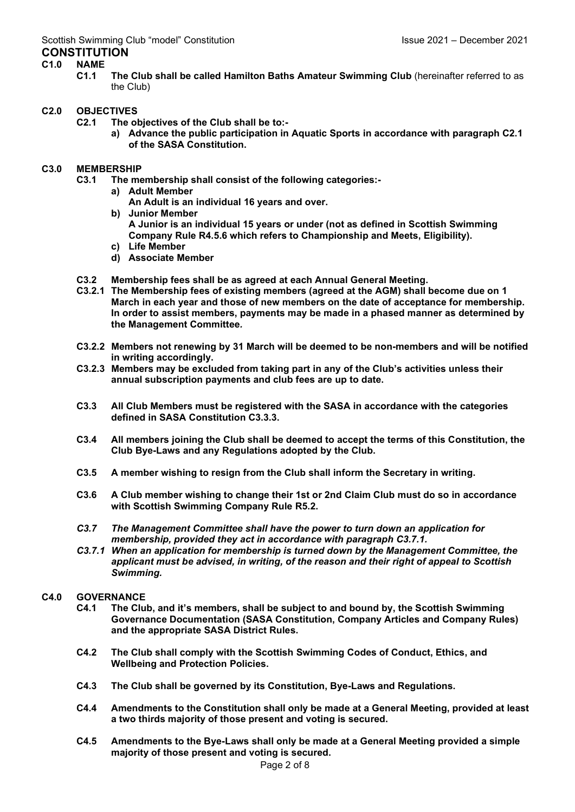# C1.0 NAME

C1.1 The Club shall be called Hamilton Baths Amateur Swimming Club (hereinafter referred to as the Club)

# C2.0 OBJECTIVES

- C2.1 The objectives of the Club shall be to:
	- a) Advance the public participation in Aquatic Sports in accordance with paragraph C2.1 of the SASA Constitution.

# C3.0 MEMBERSHIP

- C3.1 The membership shall consist of the following categories:
	- a) Adult Member
		- An Adult is an individual 16 years and over.
	- b) Junior Member A Junior is an individual 15 years or under (not as defined in Scottish Swimming Company Rule R4.5.6 which refers to Championship and Meets, Eligibility).
	- c) Life Member
	- d) Associate Member
- C3.2 Membership fees shall be as agreed at each Annual General Meeting.
- C3.2.1 The Membership fees of existing members (agreed at the AGM) shall become due on 1 March in each year and those of new members on the date of acceptance for membership. In order to assist members, payments may be made in a phased manner as determined by the Management Committee.
- C3.2.2 Members not renewing by 31 March will be deemed to be non-members and will be notified in writing accordingly.
- C3.2.3 Members may be excluded from taking part in any of the Club's activities unless their annual subscription payments and club fees are up to date.
- C3.3 All Club Members must be registered with the SASA in accordance with the categories defined in SASA Constitution C3.3.3.
- C3.4 All members joining the Club shall be deemed to accept the terms of this Constitution, the Club Bye-Laws and any Regulations adopted by the Club.
- C3.5 A member wishing to resign from the Club shall inform the Secretary in writing.
- C3.6 A Club member wishing to change their 1st or 2nd Claim Club must do so in accordance with Scottish Swimming Company Rule R5.2.
- C3.7 The Management Committee shall have the power to turn down an application for membership, provided they act in accordance with paragraph C3.7.1.
- C3.7.1 When an application for membership is turned down by the Management Committee, the applicant must be advised, in writing, of the reason and their right of appeal to Scottish Swimming.

# C4.0 GOVERNANCE

- C4.1 The Club, and it's members, shall be subject to and bound by, the Scottish Swimming Governance Documentation (SASA Constitution, Company Articles and Company Rules) and the appropriate SASA District Rules.
- C4.2 The Club shall comply with the Scottish Swimming Codes of Conduct, Ethics, and Wellbeing and Protection Policies.
- C4.3 The Club shall be governed by its Constitution, Bye-Laws and Regulations.
- C4.4 Amendments to the Constitution shall only be made at a General Meeting, provided at least a two thirds majority of those present and voting is secured.
- C4.5 Amendments to the Bye-Laws shall only be made at a General Meeting provided a simple majority of those present and voting is secured.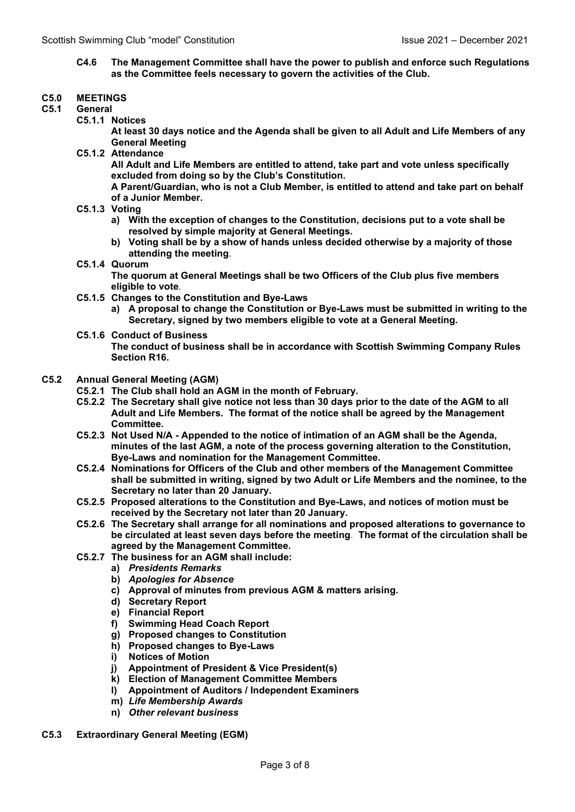C4.6 The Management Committee shall have the power to publish and enforce such Regulations as the Committee feels necessary to govern the activities of the Club.

## C5.0 MEETINGS

- C5.1 General
	- C5.1.1 Notices

At least 30 days notice and the Agenda shall be given to all Adult and Life Members of any General Meeting

C5.1.2 Attendance

All Adult and Life Members are entitled to attend, take part and vote unless specifically excluded from doing so by the Club's Constitution.

A Parent/Guardian, who is not a Club Member, is entitled to attend and take part on behalf of a Junior Member.

- C5.1.3 Voting
	- a) With the exception of changes to the Constitution, decisions put to a vote shall be resolved by simple majority at General Meetings.
	- b) Voting shall be by a show of hands unless decided otherwise by a majority of those attending the meeting.
- C5.1.4 Quorum

The quorum at General Meetings shall be two Officers of the Club plus five members eligible to vote.

- C5.1.5 Changes to the Constitution and Bye-Laws
	- a) A proposal to change the Constitution or Bye-Laws must be submitted in writing to the Secretary, signed by two members eligible to vote at a General Meeting.
- C5.1.6 Conduct of Business

The conduct of business shall be in accordance with Scottish Swimming Company Rules Section R16.

#### C5.2 Annual General Meeting (AGM)

- C5.2.1 The Club shall hold an AGM in the month of February.
- C5.2.2 The Secretary shall give notice not less than 30 days prior to the date of the AGM to all Adult and Life Members. The format of the notice shall be agreed by the Management Committee.
- C5.2.3 Not Used N/A Appended to the notice of intimation of an AGM shall be the Agenda, minutes of the last AGM, a note of the process governing alteration to the Constitution, Bye-Laws and nomination for the Management Committee.
- C5.2.4 Nominations for Officers of the Club and other members of the Management Committee shall be submitted in writing, signed by two Adult or Life Members and the nominee, to the Secretary no later than 20 January.
- C5.2.5 Proposed alterations to the Constitution and Bye-Laws, and notices of motion must be received by the Secretary not later than 20 January.
- C5.2.6 The Secretary shall arrange for all nominations and proposed alterations to governance to be circulated at least seven days before the meeting. The format of the circulation shall be agreed by the Management Committee.
- C5.2.7 The business for an AGM shall include:
	- a) Presidents Remarks
	- b) Apologies for Absence
	- c) Approval of minutes from previous AGM & matters arising.
	- d) Secretary Report
	- e) Financial Report
	- f) Swimming Head Coach Report
	- g) Proposed changes to Constitution
	- h) Proposed changes to Bye-Laws
	- i) Notices of Motion
	- j) Appointment of President & Vice President(s)
	- k) Election of Management Committee Members
	- l) Appointment of Auditors / Independent Examiners
	- m) Life Membership Awards
	- n) Other relevant business
- C5.3 Extraordinary General Meeting (EGM)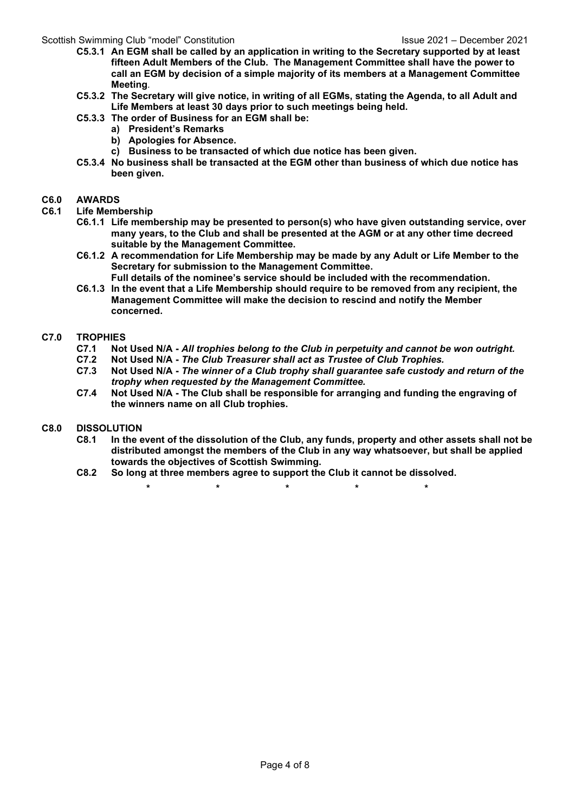## Scottish Swimming Club "model" Constitution Issue 2021 – December 2021

- C5.3.1 An EGM shall be called by an application in writing to the Secretary supported by at least fifteen Adult Members of the Club. The Management Committee shall have the power to call an EGM by decision of a simple majority of its members at a Management Committee Meeting.
- C5.3.2 The Secretary will give notice, in writing of all EGMs, stating the Agenda, to all Adult and Life Members at least 30 days prior to such meetings being held.
- C5.3.3 The order of Business for an EGM shall be:
	- a) President's Remarks
	- b) Apologies for Absence.
	- c) Business to be transacted of which due notice has been given.
- C5.3.4 No business shall be transacted at the EGM other than business of which due notice has been given.

### C6.0 AWARDS

- C6.1 Life Membership
	- C6.1.1 Life membership may be presented to person(s) who have given outstanding service, over many years, to the Club and shall be presented at the AGM or at any other time decreed suitable by the Management Committee.
	- C6.1.2 A recommendation for Life Membership may be made by any Adult or Life Member to the Secretary for submission to the Management Committee.
	- Full details of the nominee's service should be included with the recommendation. C6.1.3 In the event that a Life Membership should require to be removed from any recipient, the Management Committee will make the decision to rescind and notify the Member concerned.

## C7.0 TROPHIES

- C7.1 Not Used N/A All trophies belong to the Club in perpetuity and cannot be won outright.
- C7.2 Not Used N/A The Club Treasurer shall act as Trustee of Club Trophies.
- C7.3 Not Used N/A The winner of a Club trophy shall guarantee safe custody and return of the trophy when requested by the Management Committee.
- C7.4 Not Used N/A The Club shall be responsible for arranging and funding the engraving of the winners name on all Club trophies.

## C8.0 DISSOLUTION

- C8.1 In the event of the dissolution of the Club, any funds, property and other assets shall not be distributed amongst the members of the Club in any way whatsoever, but shall be applied towards the objectives of Scottish Swimming.
- C8.2 So long at three members agree to support the Club it cannot be dissolved.
	- \* \* \* \* \* \* \* \*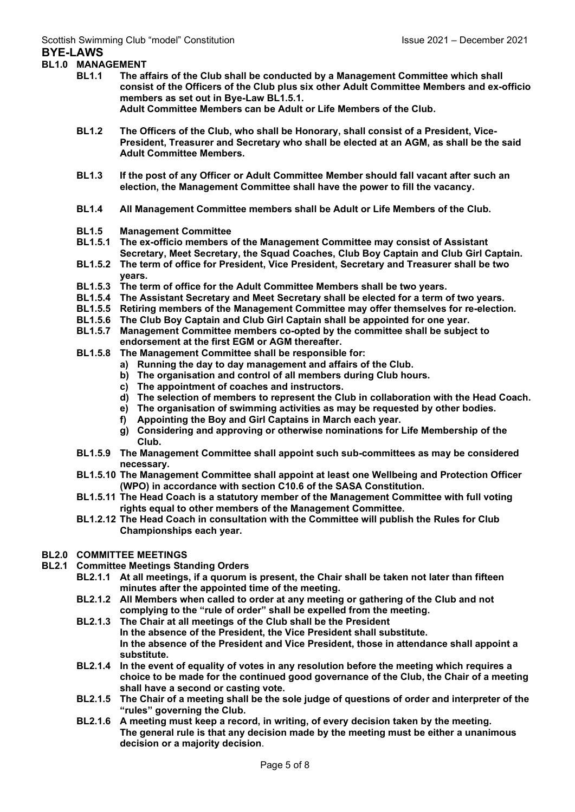### BL1.0 MANAGEMENT

- BL1.1 The affairs of the Club shall be conducted by a Management Committee which shall consist of the Officers of the Club plus six other Adult Committee Members and ex-officio members as set out in Bye-Law BL1.5.1. Adult Committee Members can be Adult or Life Members of the Club.
- BL1.2 The Officers of the Club, who shall be Honorary, shall consist of a President, Vice-President, Treasurer and Secretary who shall be elected at an AGM, as shall be the said Adult Committee Members.
- BL1.3 If the post of any Officer or Adult Committee Member should fall vacant after such an election, the Management Committee shall have the power to fill the vacancy.
- BL1.4 All Management Committee members shall be Adult or Life Members of the Club.
- BL1.5 Management Committee
- BL1.5.1 The ex-officio members of the Management Committee may consist of Assistant Secretary, Meet Secretary, the Squad Coaches, Club Boy Captain and Club Girl Captain.
- BL1.5.2 The term of office for President, Vice President, Secretary and Treasurer shall be two years.
- BL1.5.3 The term of office for the Adult Committee Members shall be two years.
- BL1.5.4 The Assistant Secretary and Meet Secretary shall be elected for a term of two years.
- 
- BL1.5.5 Retiring members of the Management Committee may offer themselves for re-election.<br>BL1.5.6 The Club Boy Captain and Club Girl Captain shall be appointed for one year. BL1.5.6 The Club Boy Captain and Club Girl Captain shall be appointed for one year.<br>BL1.5.7 Management Committee members co-opted by the committee shall be subjee
- Management Committee members co-opted by the committee shall be subject to endorsement at the first EGM or AGM thereafter.
- BL1.5.8 The Management Committee shall be responsible for:
	- a) Running the day to day management and affairs of the Club.
	- b) The organisation and control of all members during Club hours.
	- c) The appointment of coaches and instructors.
	- d) The selection of members to represent the Club in collaboration with the Head Coach.
	- e) The organisation of swimming activities as may be requested by other bodies.
	- f) Appointing the Boy and Girl Captains in March each year.
	- g) Considering and approving or otherwise nominations for Life Membership of the Club.
- BL1.5.9 The Management Committee shall appoint such sub-committees as may be considered necessary.
- BL1.5.10 The Management Committee shall appoint at least one Wellbeing and Protection Officer (WPO) in accordance with section C10.6 of the SASA Constitution.
- BL1.5.11 The Head Coach is a statutory member of the Management Committee with full voting rights equal to other members of the Management Committee.
- BL1.2.12 The Head Coach in consultation with the Committee will publish the Rules for Club Championships each year.

#### BL2.0 COMMITTEE MEETINGS

- BL2.1 Committee Meetings Standing Orders
	- BL2.1.1 At all meetings, if a quorum is present, the Chair shall be taken not later than fifteen minutes after the appointed time of the meeting.
	- BL2.1.2 All Members when called to order at any meeting or gathering of the Club and not complying to the "rule of order" shall be expelled from the meeting.
	- BL2.1.3 The Chair at all meetings of the Club shall be the President In the absence of the President, the Vice President shall substitute. In the absence of the President and Vice President, those in attendance shall appoint a substitute.
	- BL2.1.4 In the event of equality of votes in any resolution before the meeting which requires a choice to be made for the continued good governance of the Club, the Chair of a meeting shall have a second or casting vote.
	- BL2.1.5 The Chair of a meeting shall be the sole judge of questions of order and interpreter of the "rules" governing the Club.
	- BL2.1.6 A meeting must keep a record, in writing, of every decision taken by the meeting. The general rule is that any decision made by the meeting must be either a unanimous decision or a majority decision.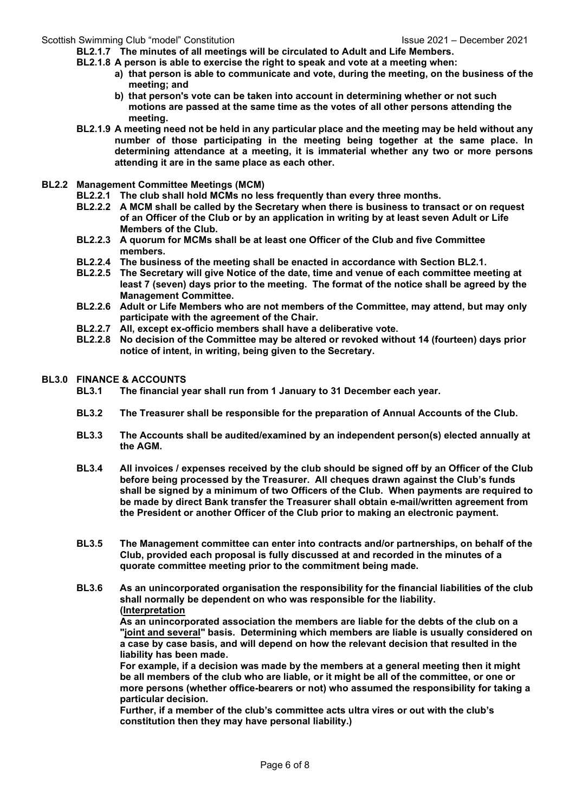### Scottish Swimming Club "model" Constitution Issue 2021 – December 2021

- BL2.1.7 The minutes of all meetings will be circulated to Adult and Life Members.
- BL2.1.8 A person is able to exercise the right to speak and vote at a meeting when:
	- a) that person is able to communicate and vote, during the meeting, on the business of the meeting; and
		- b) that person's vote can be taken into account in determining whether or not such motions are passed at the same time as the votes of all other persons attending the meeting.
- BL2.1.9 A meeting need not be held in any particular place and the meeting may be held without any number of those participating in the meeting being together at the same place. In determining attendance at a meeting, it is immaterial whether any two or more persons attending it are in the same place as each other.
- BL2.2 Management Committee Meetings (MCM)
	- BL2.2.1 The club shall hold MCMs no less frequently than every three months.
		- BL2.2.2 A MCM shall be called by the Secretary when there is business to transact or on request of an Officer of the Club or by an application in writing by at least seven Adult or Life Members of the Club.
		- BL2.2.3 A quorum for MCMs shall be at least one Officer of the Club and five Committee members.
		- BL2.2.4 The business of the meeting shall be enacted in accordance with Section BL2.1.
		- BL2.2.5 The Secretary will give Notice of the date, time and venue of each committee meeting at least 7 (seven) days prior to the meeting. The format of the notice shall be agreed by the Management Committee.
		- BL2.2.6 Adult or Life Members who are not members of the Committee, may attend, but may only participate with the agreement of the Chair.
		- BL2.2.7 All, except ex-officio members shall have a deliberative vote.
		- BL2.2.8 No decision of the Committee may be altered or revoked without 14 (fourteen) days prior notice of intent, in writing, being given to the Secretary.

## BL3.0 FINANCE & ACCOUNTS

- BL3.1 The financial year shall run from 1 January to 31 December each year.
- BL3.2 The Treasurer shall be responsible for the preparation of Annual Accounts of the Club.
- BL3.3 The Accounts shall be audited/examined by an independent person(s) elected annually at the AGM.
- BL3.4 All invoices / expenses received by the club should be signed off by an Officer of the Club before being processed by the Treasurer. All cheques drawn against the Club's funds shall be signed by a minimum of two Officers of the Club. When payments are required to be made by direct Bank transfer the Treasurer shall obtain e-mail/written agreement from the President or another Officer of the Club prior to making an electronic payment.
- BL3.5 The Management committee can enter into contracts and/or partnerships, on behalf of the Club, provided each proposal is fully discussed at and recorded in the minutes of a quorate committee meeting prior to the commitment being made.
- BL3.6 As an unincorporated organisation the responsibility for the financial liabilities of the club shall normally be dependent on who was responsible for the liability. (Interpretation

As an unincorporated association the members are liable for the debts of the club on a "joint and several" basis. Determining which members are liable is usually considered on a case by case basis, and will depend on how the relevant decision that resulted in the liability has been made.

For example, if a decision was made by the members at a general meeting then it might be all members of the club who are liable, or it might be all of the committee, or one or more persons (whether office-bearers or not) who assumed the responsibility for taking a particular decision.

Further, if a member of the club's committee acts ultra vires or out with the club's constitution then they may have personal liability.)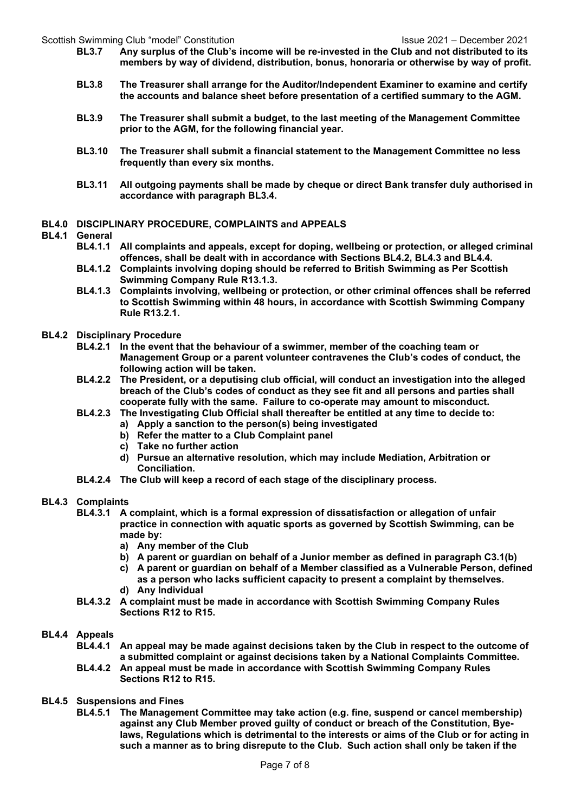Scottish Swimming Club "model" Constitution Issue 2021 – December 2021

- BL3.7 Any surplus of the Club's income will be re-invested in the Club and not distributed to its members by way of dividend, distribution, bonus, honoraria or otherwise by way of profit.
- BL3.8 The Treasurer shall arrange for the Auditor/Independent Examiner to examine and certify the accounts and balance sheet before presentation of a certified summary to the AGM.
- BL3.9 The Treasurer shall submit a budget, to the last meeting of the Management Committee prior to the AGM, for the following financial year.
- BL3.10 The Treasurer shall submit a financial statement to the Management Committee no less frequently than every six months.
- BL3.11 All outgoing payments shall be made by cheque or direct Bank transfer duly authorised in accordance with paragraph BL3.4.
- BL4.0 DISCIPLINARY PROCEDURE, COMPLAINTS and APPEALS

#### BL4.1 General

- BL4.1.1 All complaints and appeals, except for doping, wellbeing or protection, or alleged criminal offences, shall be dealt with in accordance with Sections BL4.2, BL4.3 and BL4.4.
- BL4.1.2 Complaints involving doping should be referred to British Swimming as Per Scottish Swimming Company Rule R13.1.3.
- BL4.1.3 Complaints involving, wellbeing or protection, or other criminal offences shall be referred to Scottish Swimming within 48 hours, in accordance with Scottish Swimming Company Rule R13.2.1.
- BL4.2 Disciplinary Procedure
	- BL4.2.1 In the event that the behaviour of a swimmer, member of the coaching team or Management Group or a parent volunteer contravenes the Club's codes of conduct, the following action will be taken.
	- BL4.2.2 The President, or a deputising club official, will conduct an investigation into the alleged breach of the Club's codes of conduct as they see fit and all persons and parties shall cooperate fully with the same. Failure to co-operate may amount to misconduct.
	- BL4.2.3 The Investigating Club Official shall thereafter be entitled at any time to decide to:
		- a) Apply a sanction to the person(s) being investigated
		- b) Refer the matter to a Club Complaint panel
		- c) Take no further action
		- d) Pursue an alternative resolution, which may include Mediation, Arbitration or Conciliation.
	- BL4.2.4 The Club will keep a record of each stage of the disciplinary process.

## BL4.3 Complaints

- BL4.3.1 A complaint, which is a formal expression of dissatisfaction or allegation of unfair practice in connection with aquatic sports as governed by Scottish Swimming, can be made by:
	- a) Any member of the Club
	- b) A parent or guardian on behalf of a Junior member as defined in paragraph C3.1(b)
	- c) A parent or guardian on behalf of a Member classified as a Vulnerable Person, defined as a person who lacks sufficient capacity to present a complaint by themselves.
	- d) Any Individual
- BL4.3.2 A complaint must be made in accordance with Scottish Swimming Company Rules Sections R12 to R15.

#### BL4.4 Appeals

- BL4.4.1 An appeal may be made against decisions taken by the Club in respect to the outcome of a submitted complaint or against decisions taken by a National Complaints Committee.
- BL4.4.2 An appeal must be made in accordance with Scottish Swimming Company Rules Sections R12 to R15.
- BL4.5 Suspensions and Fines
	- BL4.5.1 The Management Committee may take action (e.g. fine, suspend or cancel membership) against any Club Member proved guilty of conduct or breach of the Constitution, Byelaws, Regulations which is detrimental to the interests or aims of the Club or for acting in such a manner as to bring disrepute to the Club. Such action shall only be taken if the